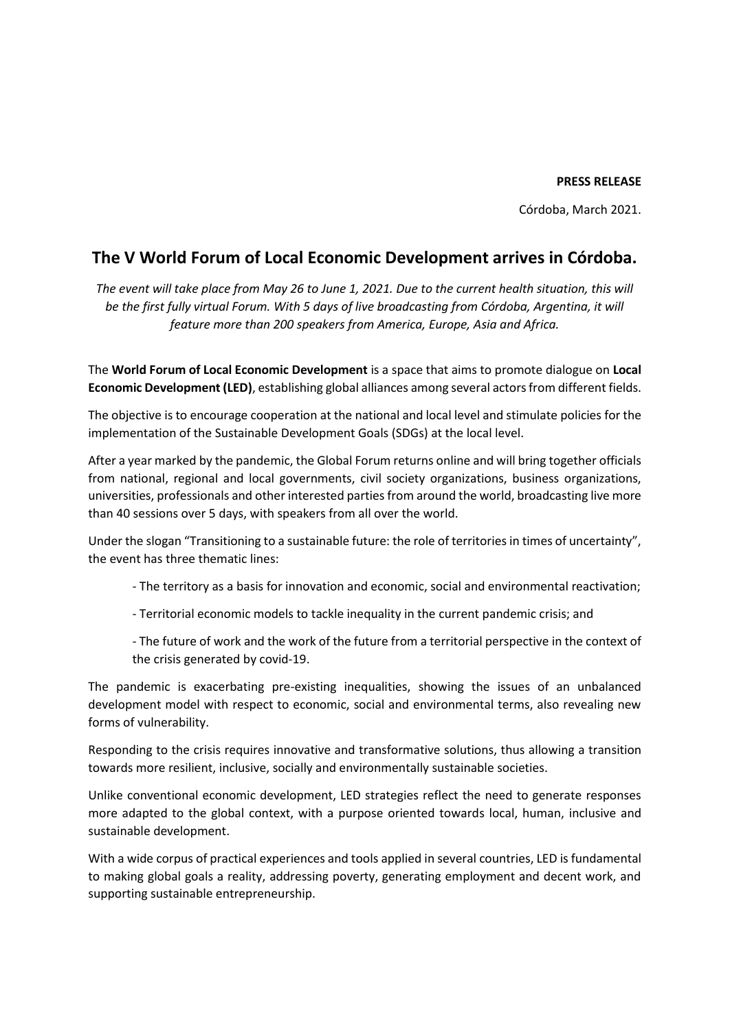## **PRESS RELEASE**

Córdoba, March 2021.

## **The V World Forum of Local Economic Development arrives in Córdoba.**

*The event will take place from May 26 to June 1, 2021. Due to the current health situation, this will be the first fully virtual Forum. With 5 days of live broadcasting from Córdoba, Argentina, it will feature more than 200 speakers from America, Europe, Asia and Africa.*

The **World Forum of Local Economic Development** is a space that aims to promote dialogue on **Local Economic Development (LED)**, establishing global alliances among several actors from different fields.

The objective is to encourage cooperation at the national and local level and stimulate policies for the implementation of the Sustainable Development Goals (SDGs) at the local level.

After a year marked by the pandemic, the Global Forum returns online and will bring together officials from national, regional and local governments, civil society organizations, business organizations, universities, professionals and other interested parties from around the world, broadcasting live more than 40 sessions over 5 days, with speakers from all over the world.

Under the slogan "Transitioning to a sustainable future: the role of territories in times of uncertainty", the event has three thematic lines:

- The territory as a basis for innovation and economic, social and environmental reactivation;
- Territorial economic models to tackle inequality in the current pandemic crisis; and
- The future of work and the work of the future from a territorial perspective in the context of the crisis generated by covid-19.

The pandemic is exacerbating pre-existing inequalities, showing the issues of an unbalanced development model with respect to economic, social and environmental terms, also revealing new forms of vulnerability.

Responding to the crisis requires innovative and transformative solutions, thus allowing a transition towards more resilient, inclusive, socially and environmentally sustainable societies.

Unlike conventional economic development, LED strategies reflect the need to generate responses more adapted to the global context, with a purpose oriented towards local, human, inclusive and sustainable development.

With a wide corpus of practical experiences and tools applied in several countries, LED is fundamental to making global goals a reality, addressing poverty, generating employment and decent work, and supporting sustainable entrepreneurship.